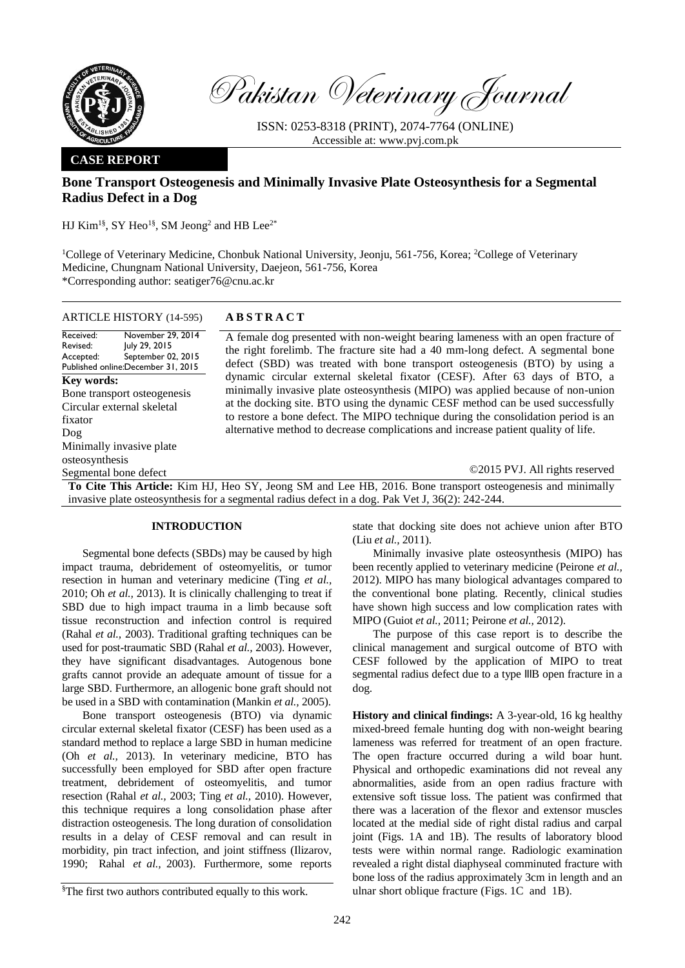

Pakistan Veterinary Journal

ISSN: 0253-8318 (PRINT), 2074-7764 (ONLINE) Accessible at: [www.pvj.com.pk](http://www.pvj.com.pk/)

## **CASE REPORT**

# **Bone Transport Osteogenesis and Minimally Invasive Plate Osteosynthesis for a Segmental Radius Defect in a Dog**

HJ Kim<sup>1§</sup>, SY Heo<sup>1§</sup>, SM Jeong<sup>2</sup> and HB Lee<sup>2\*</sup>

<sup>1</sup>College of Veterinary Medicine, Chonbuk National University, Jeonju, 561-756, Korea; <sup>2</sup>College of Veterinary Medicine, Chungnam National University, Daejeon, 561-756, Korea \*Corresponding author: seatiger76@cnu.ac.kr

ARTICLE HISTORY (14-595) **A B S T R A C T**

Received: Revised: Accepted: Published online: December 31, 2015 November 29, 2014 July 29, 2015 September 02, 2015 **Key words:**  Bone transport osteogenesis Circular external skeletal fixator Dog Minimally invasive plate osteosynthesis Segmental bone defect

A female dog presented with non-weight bearing lameness with an open fracture of the right forelimb. The fracture site had a 40 mm-long defect. A segmental bone defect (SBD) was treated with bone transport osteogenesis (BTO) by using a dynamic circular external skeletal fixator (CESF). After 63 days of BTO, a minimally invasive plate osteosynthesis (MIPO) was applied because of non-union at the docking site. BTO using the dynamic CESF method can be used successfully to restore a bone defect. The MIPO technique during the consolidation period is an alternative method to decrease complications and increase patient quality of life.

©2015 PVJ. All rights reserved

**To Cite This Article:** Kim HJ, Heo SY, Jeong SM and Lee HB, 2016. Bone transport osteogenesis and minimally invasive plate osteosynthesis for a segmental radius defect in a dog. Pak Vet J, 36(2): 242-244.

## **INTRODUCTION**

Segmental bone defects (SBDs) may be caused by high impact trauma, debridement of osteomyelitis, or tumor resection in human and veterinary medicine (Ting *et al.,* 2010; Oh *et al.,* 2013). It is clinically challenging to treat if SBD due to high impact trauma in a limb because soft tissue reconstruction and infection control is required (Rahal *et al.,* 2003). Traditional grafting techniques can be used for post-traumatic SBD (Rahal *et al.,* 2003). However, they have significant disadvantages. Autogenous bone grafts cannot provide an adequate amount of tissue for a large SBD. Furthermore, an allogenic bone graft should not be used in a SBD with contamination (Mankin *et al.,* 2005).

Bone transport osteogenesis (BTO) via dynamic circular external skeletal fixator (CESF) has been used as a standard method to replace a large SBD in human medicine (Oh *et al.,* 2013). In veterinary medicine, BTO has successfully been employed for SBD after open fracture treatment, debridement of osteomyelitis, and tumor resection (Rahal *et al.,* 2003; Ting *et al.,* 2010). However, this technique requires a long consolidation phase after distraction osteogenesis. The long duration of consolidation results in a delay of CESF removal and can result in morbidity, pin tract infection, and joint stiffness (Ilizarov, 1990; Rahal *et al.,* 2003). Furthermore, some reports

§The first two authors contributed equally to this work.

state that docking site does not achieve union after BTO (Liu *et al.,* 2011).

Minimally invasive plate osteosynthesis (MIPO) has been recently applied to veterinary medicine (Peirone *et al.,* 2012). MIPO has many biological advantages compared to the conventional bone plating. Recently, clinical studies have shown high success and low complication rates with MIPO (Guiot *et al.,* 2011; Peirone *et al.,* 2012).

The purpose of this case report is to describe the clinical management and surgical outcome of BTO with CESF followed by the application of MIPO to treat segmental radius defect due to a type lllB open fracture in a dog.

**History and clinical findings:** A 3-year-old, 16 kg healthy mixed-breed female hunting dog with non-weight bearing lameness was referred for treatment of an open fracture. The open fracture occurred during a wild boar hunt. Physical and orthopedic examinations did not reveal any abnormalities, aside from an open radius fracture with extensive soft tissue loss. The patient was confirmed that there was a laceration of the flexor and extensor muscles located at the medial side of right distal radius and carpal joint (Figs. 1A and 1B). The results of laboratory blood tests were within normal range. Radiologic examination revealed a right distal diaphyseal comminuted fracture with bone loss of the radius approximately 3cm in length and an ulnar short oblique fracture (Figs. 1C and 1B).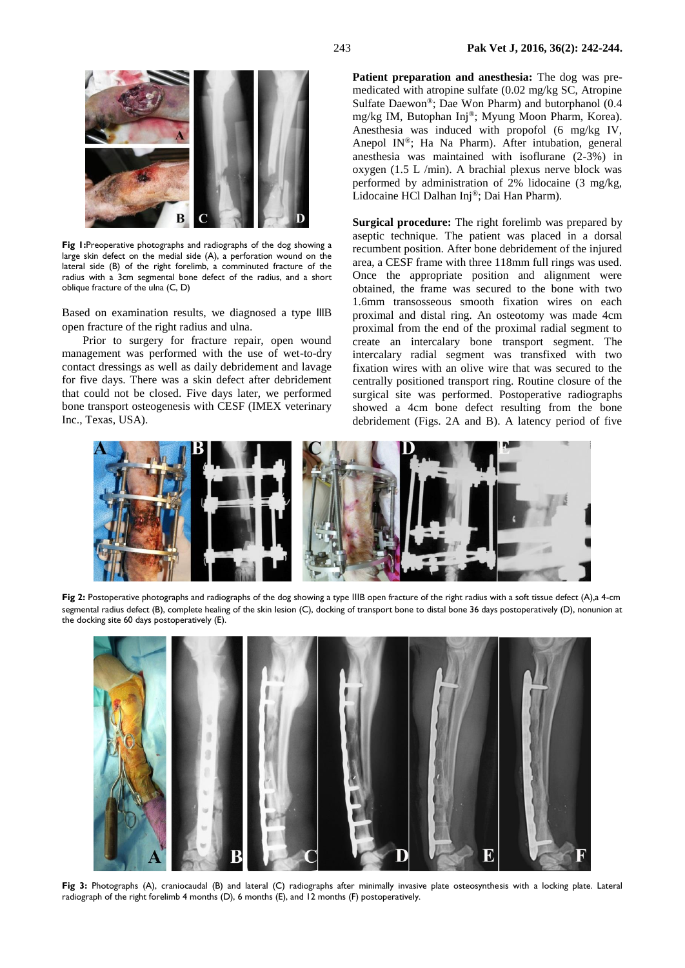

**Fig 1:**Preoperative photographs and radiographs of the dog showing a large skin defect on the medial side (A), a perforation wound on the lateral side (B) of the right forelimb, a comminuted fracture of the radius with a 3cm segmental bone defect of the radius, and a short oblique fracture of the ulna (C, D)

Based on examination results, we diagnosed a type lllB open fracture of the right radius and ulna.

Prior to surgery for fracture repair, open wound management was performed with the use of wet-to-dry contact dressings as well as daily debridement and lavage for five days. There was a skin defect after debridement that could not be closed. Five days later, we performed bone transport osteogenesis with CESF (IMEX veterinary Inc., Texas, USA).

**Patient preparation and anesthesia:** The dog was premedicated with atropine sulfate (0.02 mg/kg SC, Atropine Sulfate Daewon®; Dae Won Pharm) and butorphanol (0.4 mg/kg IM, Butophan Inj®; Myung Moon Pharm, Korea). Anesthesia was induced with propofol (6 mg/kg IV, Anepol IN®; Ha Na Pharm). After intubation, general anesthesia was maintained with isoflurane (2-3%) in oxygen (1.5 L /min). A brachial plexus nerve block was performed by administration of 2% lidocaine (3 mg/kg, Lidocaine HCl Dalhan Inj®; Dai Han Pharm).

**Surgical procedure:** The right forelimb was prepared by aseptic technique. The patient was placed in a dorsal recumbent position. After bone debridement of the injured area, a CESF frame with three 118mm full rings was used. Once the appropriate position and alignment were obtained, the frame was secured to the bone with two 1.6mm transosseous smooth fixation wires on each proximal and distal ring. An osteotomy was made 4cm proximal from the end of the proximal radial segment to create an intercalary bone transport segment. The intercalary radial segment was transfixed with two fixation wires with an olive wire that was secured to the centrally positioned transport ring. Routine closure of the surgical site was performed. Postoperative radiographs showed a 4cm bone defect resulting from the bone debridement (Figs. 2A and B). A latency period of five



**Fig 2:** Postoperative photographs and radiographs of the dog showing a type ⅢB open fracture of the right radius with a soft tissue defect (A),a 4-cm segmental radius defect (B), complete healing of the skin lesion (C), docking of transport bone to distal bone 36 days postoperatively (D), nonunion at the docking site 60 days postoperatively (E).



Fig 3: Photographs (A), craniocaudal (B) and lateral (C) radiographs after minimally invasive plate osteosynthesis with a locking plate. Lateral radiograph of the right forelimb 4 months (D), 6 months (E), and 12 months (F) postoperatively.